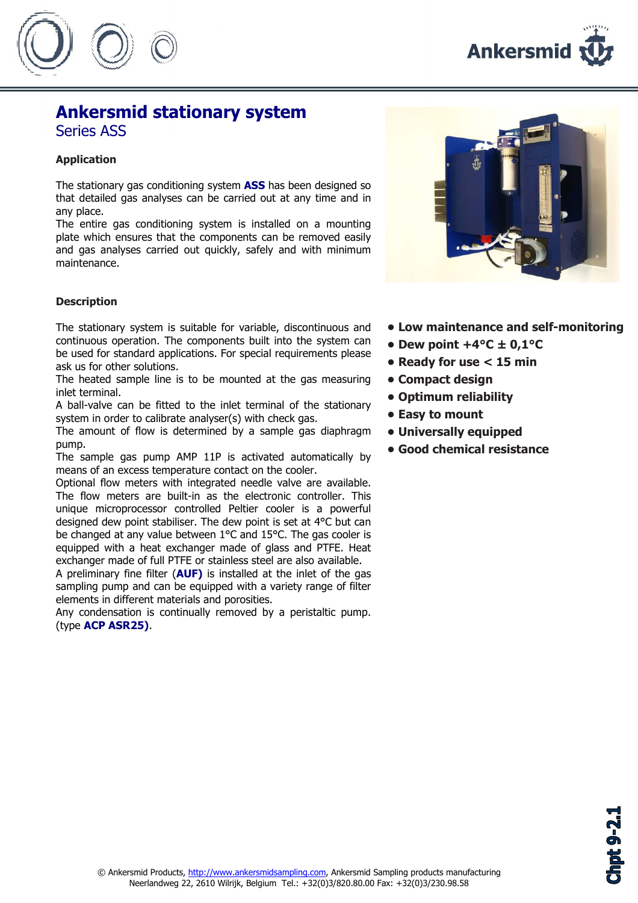



## Ankersmid stationary system Series ASS

### Application

The stationary gas conditioning system **ASS** has been designed so that detailed gas analyses can be carried out at any time and in any place.

The entire gas conditioning system is installed on a mounting plate which ensures that the components can be removed easily and gas analyses carried out quickly, safely and with minimum maintenance.

#### **Description**

The stationary system is suitable for variable, discontinuous and continuous operation. The components built into the system can be used for standard applications. For special requirements please ask us for other solutions.

The heated sample line is to be mounted at the gas measuring inlet terminal.

A ball-valve can be fitted to the inlet terminal of the stationary system in order to calibrate analyser(s) with check gas.

The amount of flow is determined by a sample gas diaphragm pump.

The sample gas pump AMP 11P is activated automatically by means of an excess temperature contact on the cooler.

Optional flow meters with integrated needle valve are available. The flow meters are built-in as the electronic controller. This unique microprocessor controlled Peltier cooler is a powerful designed dew point stabiliser. The dew point is set at 4°C but can be changed at any value between 1°C and 15°C. The gas cooler is equipped with a heat exchanger made of glass and PTFE. Heat exchanger made of full PTFE or stainless steel are also available.

A preliminary fine filter (AUF) is installed at the inlet of the gas sampling pump and can be equipped with a variety range of filter elements in different materials and porosities.

Any condensation is continually removed by a peristaltic pump. (type ACP ASR25).



- Low maintenance and self-monitoring
- Dew point  $+4^{\circ}C \pm 0.1^{\circ}C$
- Ready for use < 15 min
- Compact design
- Optimum reliability
- Easy to mount
- Universally equipped
- Good chemical resistance